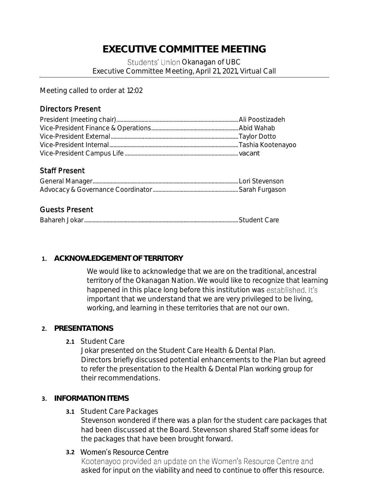# **EXECUTIVE COMMITTEE MEETING**  Students' Union Okanagan of UBC Executive Committee Meeting, April 21, 2021, Virtual Call

Meeting called to order at 12:02

### Directors Present

#### Staff Present

## Guests Present

#### **1. ACKNOWLEDGEMENT OF TERRITORY**

We would like to acknowledge that we are on the traditional, ancestral territory of the Okanagan Nation. We would like to recognize that learning happened in this place long before this institution was established. It's important that we understand that we are very privileged to be living, working, and learning in these territories that are not our own.

#### **2. PRESENTATIONS**

**2.1** Student Care

Jokar presented on the Student Care Health & Dental Plan. Directors briefly discussed potential enhancements to the Plan but agreed to refer the presentation to the Health & Dental Plan working group for their recommendations.

#### **3. INFORMATION ITEMS**

**3.1** Student Care Packages

Stevenson wondered if there was a plan for the student care packages that had been discussed at the Board. Stevenson shared Staff some ideas for the packages that have been brought forward.

#### **3.2 Women's Resource Centre**

Kootenayoo provided an update on the Women's Resource Centre and asked for input on the viability and need to continue to offer this resource.